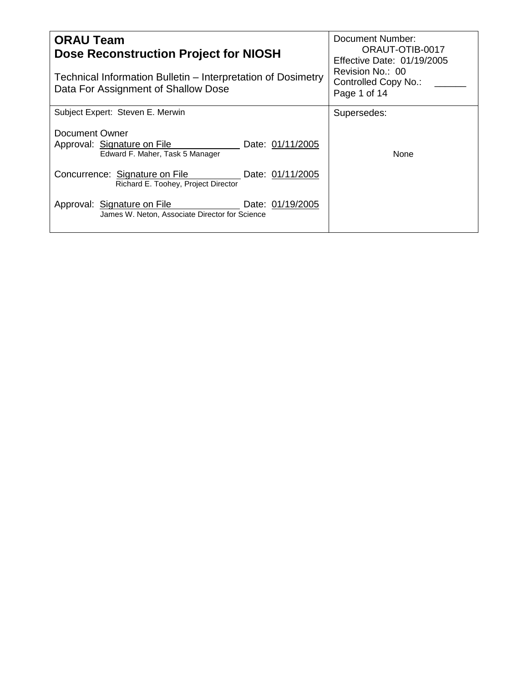| <b>ORAU Team</b><br><b>Dose Reconstruction Project for NIOSH</b>                                     | Document Number:<br>ORAUT-OTIB-0017<br><b>Effective Date: 01/19/2005</b> |
|------------------------------------------------------------------------------------------------------|--------------------------------------------------------------------------|
| Technical Information Bulletin – Interpretation of Dosimetry<br>Data For Assignment of Shallow Dose  | Revision No.: 00<br>Controlled Copy No.:<br>Page 1 of 14                 |
| Subject Expert: Steven E. Merwin                                                                     | Supersedes:                                                              |
| Document Owner<br>Approval: Signature on File<br>Date: 01/11/2005<br>Edward F. Maher, Task 5 Manager | None                                                                     |
| Concurrence: Signature on File<br>Date: 01/11/2005<br>Richard E. Toohey, Project Director            |                                                                          |
| Approval: Signature on File<br>Date: 01/19/2005<br>James W. Neton, Associate Director for Science    |                                                                          |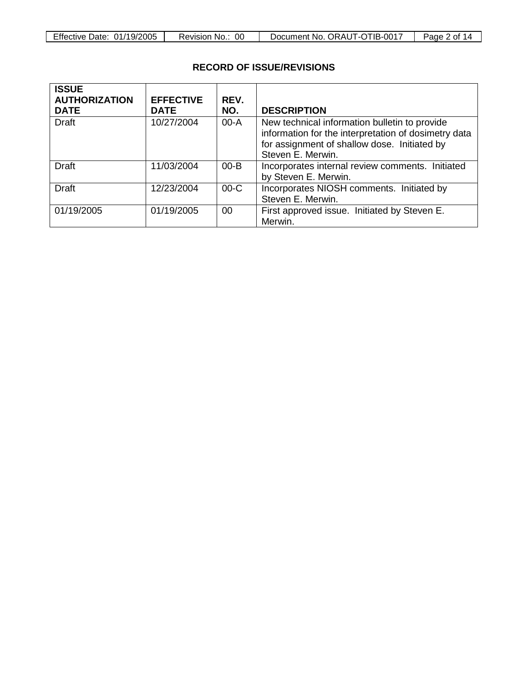# **RECORD OF ISSUE/REVISIONS**

| <b>ISSUE</b><br><b>AUTHORIZATION</b><br><b>DATE</b> | <b>EFFECTIVE</b><br><b>DATE</b> | REV.<br>NO. | <b>DESCRIPTION</b>                                                                                                                                                         |
|-----------------------------------------------------|---------------------------------|-------------|----------------------------------------------------------------------------------------------------------------------------------------------------------------------------|
| Draft                                               | 10/27/2004                      | $00-A$      | New technical information bulletin to provide<br>information for the interpretation of dosimetry data<br>for assignment of shallow dose. Initiated by<br>Steven E. Merwin. |
| Draft                                               | 11/03/2004                      | $00 - B$    | Incorporates internal review comments. Initiated<br>by Steven E. Merwin.                                                                                                   |
| <b>Draft</b>                                        | 12/23/2004                      | $00-C$      | Incorporates NIOSH comments. Initiated by<br>Steven E. Merwin.                                                                                                             |
| 01/19/2005                                          | 01/19/2005                      | 00          | First approved issue. Initiated by Steven E.<br>Merwin.                                                                                                                    |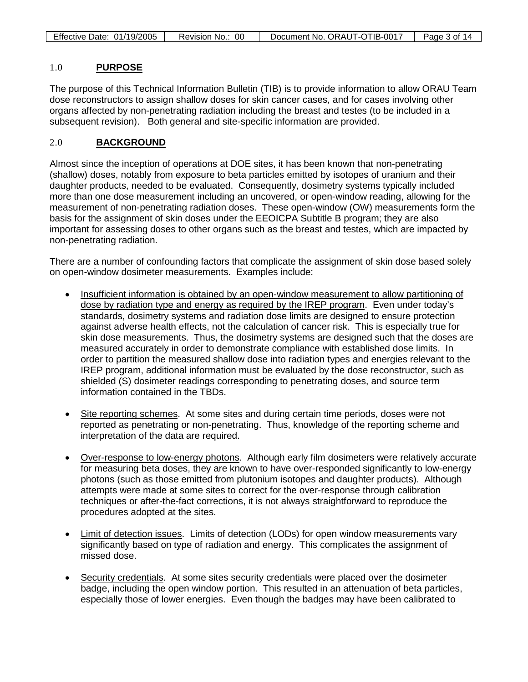| Effective Date: 01/19/2005 | Revision No.:<br>00 | Document No. ORAUT-OTIB-0017 | Page 3 of 14 |
|----------------------------|---------------------|------------------------------|--------------|

#### 1.0 **PURPOSE**

The purpose of this Technical Information Bulletin (TIB) is to provide information to allow ORAU Team dose reconstructors to assign shallow doses for skin cancer cases, and for cases involving other organs affected by non-penetrating radiation including the breast and testes (to be included in a subsequent revision). Both general and site-specific information are provided.

#### 2.0 **BACKGROUND**

Almost since the inception of operations at DOE sites, it has been known that non-penetrating (shallow) doses, notably from exposure to beta particles emitted by isotopes of uranium and their daughter products, needed to be evaluated. Consequently, dosimetry systems typically included more than one dose measurement including an uncovered, or open-window reading, allowing for the measurement of non-penetrating radiation doses. These open-window (OW) measurements form the basis for the assignment of skin doses under the EEOICPA Subtitle B program; they are also important for assessing doses to other organs such as the breast and testes, which are impacted by non-penetrating radiation.

There are a number of confounding factors that complicate the assignment of skin dose based solely on open-window dosimeter measurements. Examples include:

- Insufficient information is obtained by an open-window measurement to allow partitioning of dose by radiation type and energy as required by the IREP program . Even under today's standards, dosimetry systems and radiation dose limits are designed to ensure protection against adverse health effects, not the calculation of cancer risk. This is especially true for skin dose measurements. Thus, the dosimetry systems are designed such that the doses are measured accurately in order to demonstrate compliance with established dose limits. In order to partition the measured shallow dose into radiation types and energies relevant to the IREP program, additional information must be evaluated by the dose reconstructor, such as shielded (S) dosimeter readings corresponding to penetrating doses, and source term information contained in the TBDs.
- Site reporting schemes. At some sites and during certain time periods, doses were not reported as penetrating or non-penetrating. Thus, knowledge of the reporting scheme and interpretation of the data are required.
- Over-response to low-energy photons. Although early film dosimeters were relatively accurate for measuring beta doses, they are known to have over-responded significantly to low-energy photons (such as those emitted from plutonium isotopes and daughter products). Although attempts were made at some sites to correct for the over-response through calibration techniques or after-the-fact corrections, it is not always straightforward to reproduce the procedures adopted at the sites.
- Limit of detection issues. Limits of detection (LODs) for open window measurements vary significantly based on type of radiation and energy. This complicates the assignment of missed dose.
- Security credentials. At some sites security credentials were placed over the dosimeter badge, including the open window portion. This resulted in an attenuation of beta particles, especially those of lower energies. Even though the badges may have been calibrated to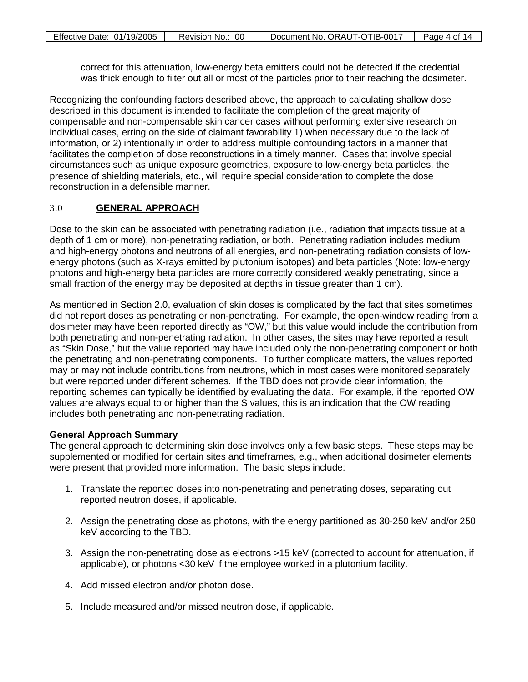| Effective Date: 01/19/2005 | Revision No.: 00 | Document No. ORAUT-OTIB-0017 | Page 4 of 14 |
|----------------------------|------------------|------------------------------|--------------|
|                            |                  |                              |              |

correct for this attenuation, low-energy beta emitters could not be detected if the credential was thick enough to filter out all or most of the particles prior to their reaching the dosimeter.

Recognizing the confounding factors described above, the approach to calculating shallow dose described in this document is intended to facilitate the completion of the great majority of compensable and non-compensable skin cancer cases without performing extensive research on individual cases, erring on the side of claimant favorability 1) when necessary due to the lack of information, or 2) intentionally in order to address multiple confounding factors in a manner that facilitates the completion of dose reconstructions in a timely manner. Cases that involve special circumstances such as unique exposure geometries, exposure to low-energy beta particles, the presence of shielding materials, etc., will require special consideration to complete the dose reconstruction in a defensible manner.

#### 3.0 **GENERAL APPROACH**

Dose to the skin can be associated with penetrating radiation (i.e., radiation that impacts tissue at a depth of 1 cm or more), non-penetrating radiation, or both. Penetrating radiation includes medium and high-energy photons and neutrons of all energies, and non-penetrating radiation consists of lowenergy photons (such as X-rays emitted by plutonium isotopes) and beta particles (Note: low-energy photons and high-energy beta particles are more correctly considered weakly penetrating, since a small fraction of the energy may be deposited at depths in tissue greater than 1 cm).

As mentioned in Section 2.0, evaluation of skin doses is complicated by the fact that sites sometimes did not report doses as penetrating or non-penetrating. For example, the open-window reading from a dosimeter may have been reported directly as "OW," but this value would include the contribution from both penetrating and non-penetrating radiation. In other cases, the sites may have reported a result as "Skin Dose," but the value reported may have included only the non-penetrating component or both the penetrating and non-penetrating components. To further complicate matters, the values reported may or may not include contributions from neutrons, which in most cases were monitored separately but were reported under different schemes. If the TBD does not provide clear information, the reporting schemes can typically be identified by evaluating the data. For example, if the reported OW values are always equal to or higher than the S values, this is an indication that the OW reading includes both penetrating and non-penetrating radiation.

#### **General Approach Summary**

The general approach to determining skin dose involves only a few basic steps. These steps may be supplemented or modified for certain sites and timeframes, e.g., when additional dosimeter elements were present that provided more information. The basic steps include:

- 1. Translate the reported doses into non-penetrating and penetrating doses, separating out reported neutron doses, if applicable.
- 2. Assign the penetrating dose as photons, with the energy partitioned as 30-250 keV and/or 250 keV according to the TBD.
- 3. Assign the non-penetrating dose as electrons >15 keV (corrected to account for attenuation, if applicable), or photons <30 keV if the employee worked in a plutonium facility.
- 4. Add missed electron and/or photon dose.
- 5. Include measured and/or missed neutron dose, if applicable.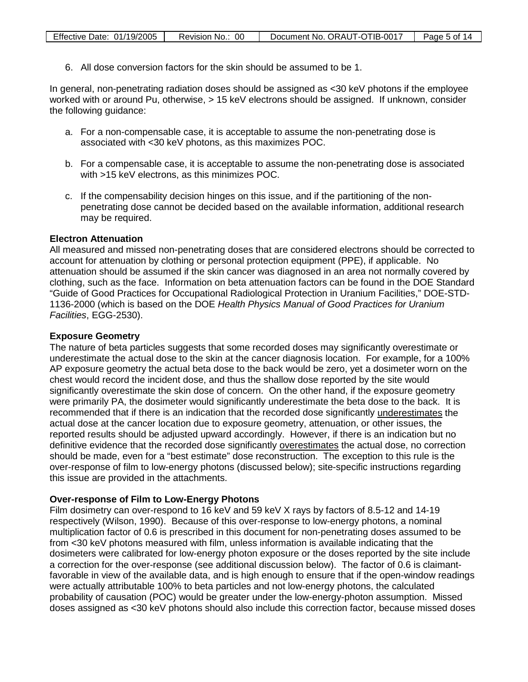6. All dose conversion factors for the skin should be assumed to be 1.

In general, non-penetrating radiation doses should be assigned as <30 keV photons if the employee worked with or around Pu, otherwise, > 15 keV electrons should be assigned. If unknown, consider the following guidance:

- a. For a non-compensable case, it is acceptable to assume the non-penetrating dose is associated with <30 keV photons, as this maximizes POC.
- b. For a compensable case, it is acceptable to assume the non-penetrating dose is associated with >15 keV electrons, as this minimizes POC.
- c. If the compensability decision hinges on this issue, and if the partitioning of the nonpenetrating dose cannot be decided based on the available information, additional research may be required.

#### **Electron Attenuation**

All measured and missed non-penetrating doses that are considered electrons should be corrected to account for attenuation by clothing or personal protection equipment (PPE), if applicable. No attenuation should be assumed if the skin cancer was diagnosed in an area not normally covered by clothing, such as the face. Information on beta attenuation factors can be found in the DOE Standard "Guide of Good Practices for Occupational Radiological Protection in Uranium Facilities," DOE-STD-1136-2000 (which is based on the DOE *Health Physics Manual of Good Practices for Uranium Facilities*, EGG-2530).

## **Exposure Geometry**

The nature of beta particles suggests that some recorded doses may significantly overestimate or underestimate the actual dose to the skin at the cancer diagnosis location. For example, for a 100% AP exposure geometry the actual beta dose to the back would be zero, yet a dosimeter worn on the chest would record the incident dose, and thus the shallow dose reported by the site would significantly overestimate the skin dose of concern. On the other hand, if the exposure geometry were primarily PA, the dosimeter would significantly underestimate the beta dose to the back. It is recommended that if there is an indication that the recorded dose significantly underestimates the actual dose at the cancer location due to exposure geometry, attenuation, or other issues, the reported results should be adjusted upward accordingly. However, if there is an indication but no definitive evidence that the recorded dose significantly <u>overestimates</u> the actual dose, no correction should be made, even for a "best estimate" dose reconstruction. The exception to this rule is the over-response of film to low-energy photons (discussed below); site-specific instructions regarding this issue are provided in the attachments.

#### **Over-response of Film to Low-Energy Photons**

Film dosimetry can over-respond to 16 keV and 59 keV X rays by factors of 8.5-12 and 14-19 respectively (Wilson, 1990). Because of this over-response to low-energy photons, a nominal multiplication factor of 0.6 is prescribed in this document for non-penetrating doses assumed to be from <30 keV photons measured with film, unless information is available indicating that the dosimeters were calibrated for low-energy photon exposure or the doses reported by the site include a correction for the over-response (see additional discussion below). The factor of 0.6 is claimantfavorable in view of the available data, and is high enough to ensure that if the open-window readings were actually attributable 100% to beta particles and not low-energy photons, the calculated probability of causation (POC) would be greater under the low-energy-photon assumption. Missed doses assigned as <30 keV photons should also include this correction factor, because missed doses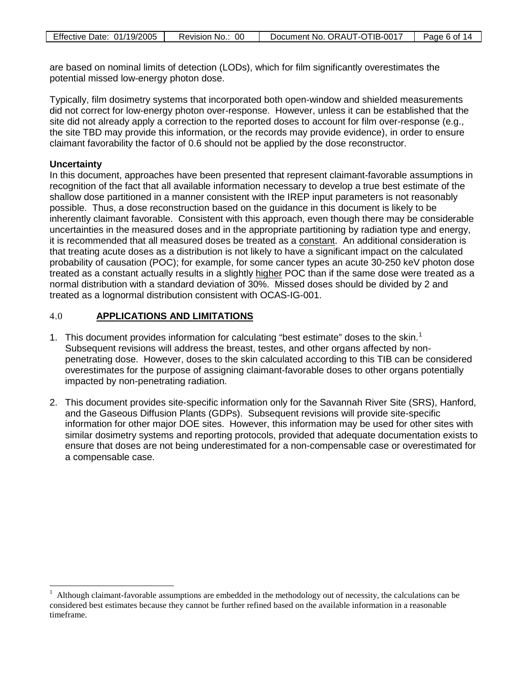| Effective Date: 01/19/2005 | Revision No.: 00 | Document No. ORAUT-OTIB-0017 | Page 6 of 14 |
|----------------------------|------------------|------------------------------|--------------|

are based on nominal limits of detection (LODs), which for film significantly overestimates the potential missed low-energy photon dose.

Typically, film dosimetry systems that incorporated both open-window and shielded measurements did not correct for low-energy photon over-response. However, unless it can be established that the site did not already apply a correction to the reported doses to account for film over-response (e.g., the site TBD may provide this information, or the records may provide evidence), in order to ensure claimant favorability the factor of 0.6 should not be applied by the dose reconstructor.

## **Uncertainty**

 $\overline{a}$ 

In this document, approaches have been presented that represent claimant-favorable assumptions in recognition of the fact that all available information necessary to develop a true best estimate of the shallow dose partitioned in a manner consistent with the IREP input parameters is not reasonably possible. Thus, a dose reconstruction based on the guidance in this document is likely to be inherently claimant favorable. Consistent with this approach, even though there may be considerable uncertainties in the measured doses and in the appropriate partitioning by radiation type and energy, it is recommended that all measured doses be treated as a constant. An additional consideration is that treating acute doses as a distribution is not likely to have a significant impact on the calculated probability of causation (POC); for example, for some cancer types an acute 30-250 keV photon dose treated as a constant actually results in a slightly higher POC than if the same dose were treated as a normal distribution with a standard deviation of 30%. Missed doses should be divided by 2 and treated as a lognormal distribution consistent with OCAS-IG-001.

#### 4.0 **APPLICATIONS AND LIMITATIONS**

- [1](#page-5-0). This document provides information for calculating "best estimate" doses to the skin. $<sup>1</sup>$ </sup> Subsequent revisions will address the breast, testes, and other organs affected by nonpenetrating dose. However, doses to the skin calculated according to this TIB can be considered overestimates for the purpose of assigning claimant-favorable doses to other organs potentially impacted by non-penetrating radiation.
- 2. This document provides site-specific information only for the Savannah River Site (SRS), Hanford, and the Gaseous Diffusion Plants (GDPs). Subsequent revisions will provide site-specific information for other major DOE sites. However, this information may be used for other sites with similar dosimetry systems and reporting protocols, provided that adequate documentation exists to ensure that doses are not being underestimated for a non-compensable case or overestimated for a compensable case.

<span id="page-5-0"></span><sup>1</sup> Although claimant-favorable assumptions are embedded in the methodology out of necessity, the calculations can be considered best estimates because they cannot be further refined based on the available information in a reasonable timeframe.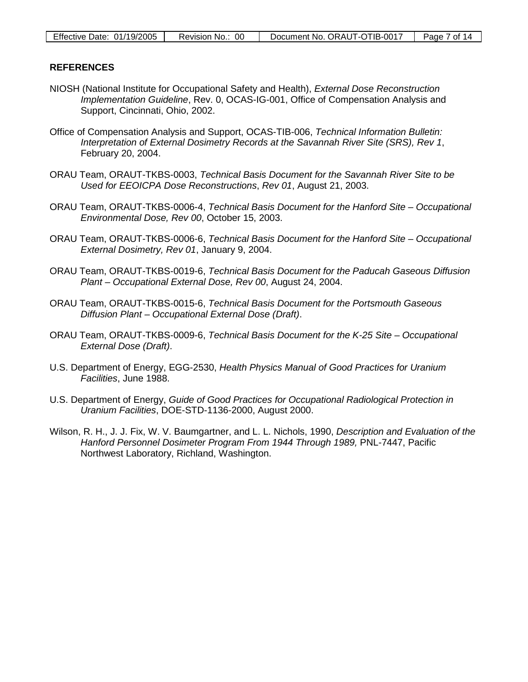| Effective Date: $01/19/2005$ | Revision No.: 00 | Document No. ORAUT-OTIB-0017 | Page 7 of 14 |
|------------------------------|------------------|------------------------------|--------------|
|------------------------------|------------------|------------------------------|--------------|

#### **REFERENCES**

- NIOSH (National Institute for Occupational Safety and Health), *External Dose Reconstruction Implementation Guideline*, Rev. 0, OCAS-IG-001, Office of Compensation Analysis and Support, Cincinnati, Ohio, 2002.
- Office of Compensation Analysis and Support, OCAS-TIB-006, *Technical Information Bulletin: Interpretation of External Dosimetry Records at the Savannah River Site (SRS), Rev 1*, February 20, 2004.
- ORAU Team, ORAUT-TKBS-0003, *Technical Basis Document for the Savannah River Site to be Used for EEOICPA Dose Reconstructions*, *Rev 01*, August 21, 2003.
- ORAU Team, ORAUT-TKBS-0006-4, *Technical Basis Document for the Hanford Site Occupational Environmental Dose, Rev 00*, October 15, 2003.
- ORAU Team, ORAUT-TKBS-0006-6, *Technical Basis Document for the Hanford Site Occupational External Dosimetry, Rev 01*, January 9, 2004.
- ORAU Team, ORAUT-TKBS-0019-6, *Technical Basis Document for the Paducah Gaseous Diffusion Plant – Occupational External Dose, Rev 00*, August 24, 2004.
- ORAU Team, ORAUT-TKBS-0015-6, *Technical Basis Document for the Portsmouth Gaseous Diffusion Plant – Occupational External Dose (Draft)*.
- ORAU Team, ORAUT-TKBS-0009-6, *Technical Basis Document for the K-25 Site Occupational External Dose (Draft)*.
- U.S. Department of Energy, EGG-2530, *Health Physics Manual of Good Practices for Uranium Facilities*, June 1988.
- U.S. Department of Energy, *Guide of Good Practices for Occupational Radiological Protection in Uranium Facilities*, DOE-STD-1136-2000, August 2000.
- Wilson, R. H., J. J. Fix, W. V. Baumgartner, and L. L. Nichols, 1990, *Description and Evaluation of the Hanford Personnel Dosimeter Program From 1944 Through 1989,* PNL-7447, Pacific Northwest Laboratory, Richland, Washington.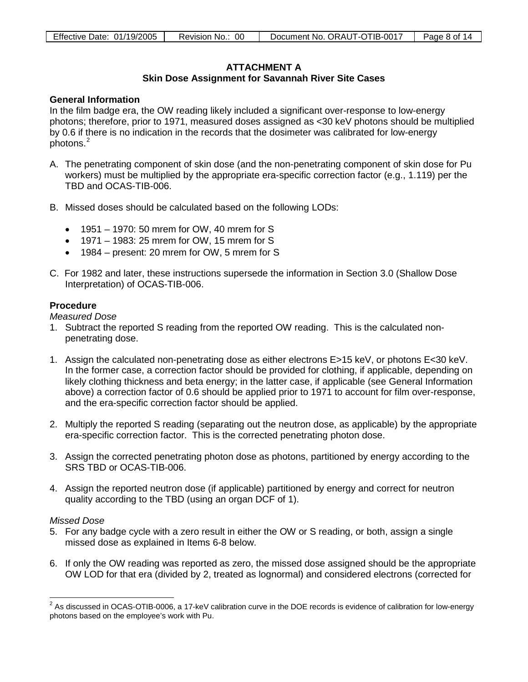## **ATTACHMENT A**

## **Skin Dose Assignment for Savannah River Site Cases**

## **General Information**

In the film badge era, the OW reading likely included a significant over-response to low-energy photons; therefore, prior to 1971, measured doses assigned as <30 keV photons should be multiplied by 0.6 if there is no indication in the records that the dosimeter was calibrated for low-energy photons.[2](#page-7-0)

- A. The penetrating component of skin dose (and the non-penetrating component of skin dose for Pu workers) must be multiplied by the appropriate era-specific correction factor (e.g., 1.119) per the TBD and OCAS-TIB-006.
- B. Missed doses should be calculated based on the following LODs:
	- 1951 1970: 50 mrem for OW, 40 mrem for S
	- 1971 1983: 25 mrem for OW, 15 mrem for S
	- 1984 present: 20 mrem for OW, 5 mrem for S
- C. For 1982 and later, these instructions supersede the information in Section 3.0 (Shallow Dose Interpretation) of OCAS-TIB-006.

#### **Procedure**

*Measured Dose*

- 1. Subtract the reported S reading from the reported OW reading. This is the calculated nonpenetrating dose.
- 1. Assign the calculated non-penetrating dose as either electrons E>15 keV, or photons E<30 keV. In the former case, a correction factor should be provided for clothing, if applicable, depending on likely clothing thickness and beta energy; in the latter case, if applicable (see General Information above) a correction factor of 0.6 should be applied prior to 1971 to account for film over-response, and the era-specific correction factor should be applied.
- 2. Multiply the reported S reading (separating out the neutron dose, as applicable) by the appropriate era-specific correction factor. This is the corrected penetrating photon dose.
- 3. Assign the corrected penetrating photon dose as photons, partitioned by energy according to the SRS TBD or OCAS-TIB-006.
- 4. Assign the reported neutron dose (if applicable) partitioned by energy and correct for neutron quality according to the TBD (using an organ DCF of 1).

#### *Missed Dose*

 $\overline{a}$ 

- 5. For any badge cycle with a zero result in either the OW or S reading, or both, assign a single missed dose as explained in Items 6-8 below.
- 6. If only the OW reading was reported as zero, the missed dose assigned should be the appropriate OW LOD for that era (divided by 2, treated as lognormal) and considered electrons (corrected for

<span id="page-7-0"></span> $^2$  As discussed in OCAS-OTIB-0006, a 17-keV calibration curve in the DOE records is evidence of calibration for low-energy photons based on the employee's work with Pu.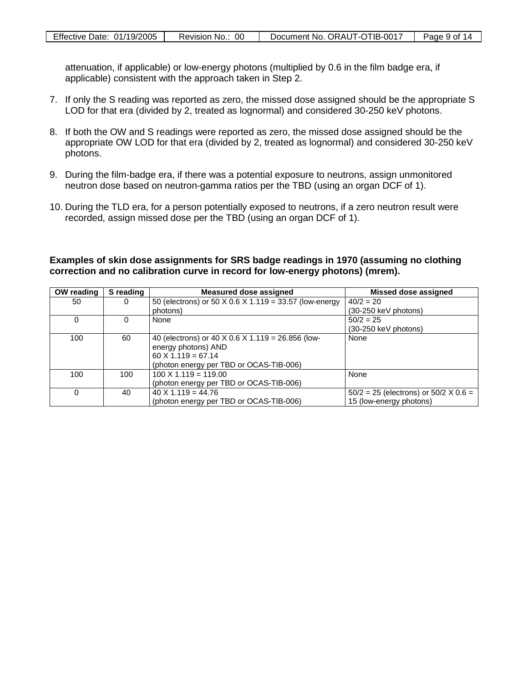| Effective Date: 01/19/2005 | Revision No.: 00 | Document No. ORAUT-OTIB-0017 | Page 9 of 14 |
|----------------------------|------------------|------------------------------|--------------|

attenuation, if applicable) or low-energy photons (multiplied by 0.6 in the film badge era, if applicable) consistent with the approach taken in Step 2.

- 7. If only the S reading was reported as zero, the missed dose assigned should be the appropriate S LOD for that era (divided by 2, treated as lognormal) and considered 30-250 keV photons.
- 8. If both the OW and S readings were reported as zero, the missed dose assigned should be the appropriate OW LOD for that era (divided by 2, treated as lognormal) and considered 30-250 keV photons.
- 9. During the film-badge era, if there was a potential exposure to neutrons, assign unmonitored neutron dose based on neutron-gamma ratios per the TBD (using an organ DCF of 1).
- 10. During the TLD era, for a person potentially exposed to neutrons, if a zero neutron result were recorded, assign missed dose per the TBD (using an organ DCF of 1).

**Examples of skin dose assignments for SRS badge readings in 1970 (assuming no clothing correction and no calibration curve in record for low-energy photons) (mrem).** 

| OW reading | S reading | Measured dose assigned                                 | Missed dose assigned                           |
|------------|-----------|--------------------------------------------------------|------------------------------------------------|
| 50         | 0         | 50 (electrons) or 50 X 0.6 X 1.119 = 33.57 (low-energy | $40/2 = 20$                                    |
|            |           | photons)                                               | (30-250 keV photons)                           |
| 0          |           | None                                                   | $50/2 = 25$                                    |
|            |           |                                                        | $(30-250 \text{ keV photons})$                 |
| 100        | 60        | 40 (electrons) or 40 X 0.6 X 1.119 = 26.856 (low-      | None                                           |
|            |           | energy photons) AND                                    |                                                |
|            |           | $60 \times 1.119 = 67.14$                              |                                                |
|            |           | (photon energy per TBD or OCAS-TIB-006)                |                                                |
| 100        | 100       | $100 \times 1.119 = 119.00$                            | None                                           |
|            |           | (photon energy per TBD or OCAS-TIB-006)                |                                                |
| $\Omega$   | 40        | $40 \times 1.119 = 44.76$                              | $50/2 = 25$ (electrons) or $50/2 \times 0.6 =$ |
|            |           | (photon energy per TBD or OCAS-TIB-006)                | 15 (low-energy photons)                        |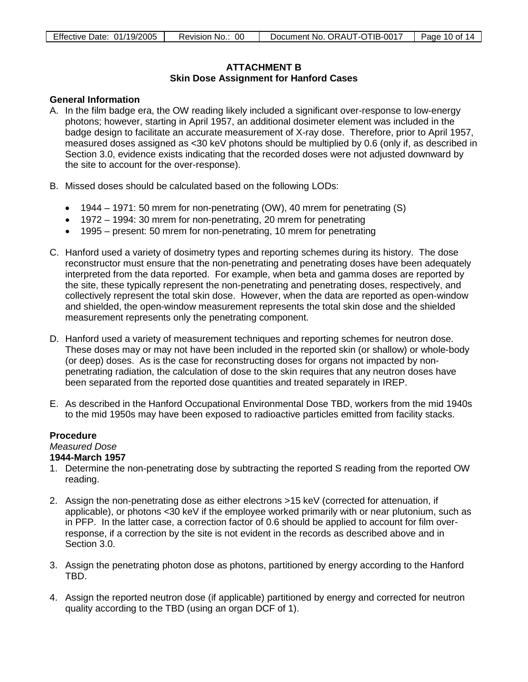## **ATTACHMENT B Skin Dose Assignment for Hanford Cases**

## **General Information**

- A. In the film badge era, the OW reading likely included a significant over-response to low-energy photons; however, starting in April 1957, an additional dosimeter element was included in the badge design to facilitate an accurate measurement of X-ray dose. Therefore, prior to April 1957, measured doses assigned as <30 keV photons should be multiplied by 0.6 (only if, as described in Section 3.0, evidence exists indicating that the recorded doses were not adjusted downward by the site to account for the over-response).
- B. Missed doses should be calculated based on the following LODs:
	- 1944 1971: 50 mrem for non-penetrating (OW), 40 mrem for penetrating (S)
	- 1972 1994: 30 mrem for non-penetrating, 20 mrem for penetrating
	- 1995 present: 50 mrem for non-penetrating, 10 mrem for penetrating
- C. Hanford used a variety of dosimetry types and reporting schemes during its history. The dose reconstructor must ensure that the non-penetrating and penetrating doses have been adequately interpreted from the data reported. For example, when beta and gamma doses are reported by the site, these typically represent the non-penetrating and penetrating doses, respectively, and collectively represent the total skin dose. However, when the data are reported as open-window and shielded, the open-window measurement represents the total skin dose and the shielded measurement represents only the penetrating component.
- D. Hanford used a variety of measurement techniques and reporting schemes for neutron dose. These doses may or may not have been included in the reported skin (or shallow) or whole-body (or deep) doses. As is the case for reconstructing doses for organs not impacted by nonpenetrating radiation, the calculation of dose to the skin requires that any neutron doses have been separated from the reported dose quantities and treated separately in IREP.
- E. As described in the Hanford Occupational Environmental Dose TBD, workers from the mid 1940s to the mid 1950s may have been exposed to radioactive particles emitted from facility stacks.

#### **Procedure**

# *Measured Dose*

# **1944-March 1957**

- 1. Determine the non-penetrating dose by subtracting the reported S reading from the reported OW reading.
- 2. Assign the non-penetrating dose as either electrons >15 keV (corrected for attenuation, if applicable), or photons <30 keV if the employee worked primarily with or near plutonium, such as in PFP. In the latter case, a correction factor of 0.6 should be applied to account for film overresponse, if a correction by the site is not evident in the records as described above and in Section 3.0.
- 3. Assign the penetrating photon dose as photons, partitioned by energy according to the Hanford TBD.
- 4. Assign the reported neutron dose (if applicable) partitioned by energy and corrected for neutron quality according to the TBD (using an organ DCF of 1).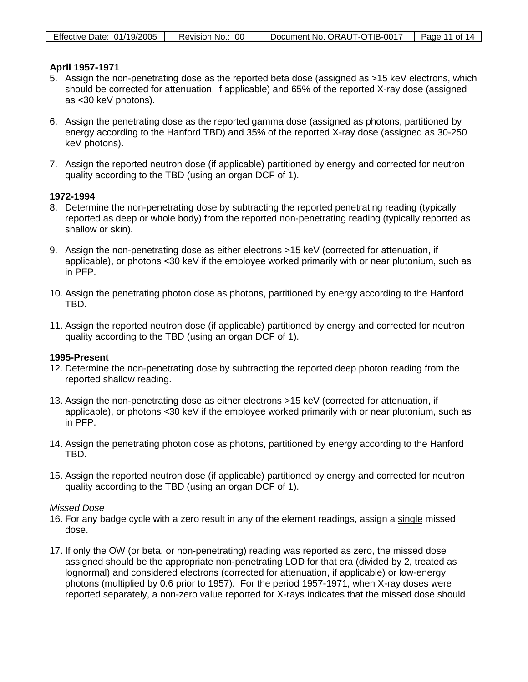| Effective Date: 01/19/2005 | Revision No.: 00 | Document No. ORAUT-OTIB-0017 | Page 11 of 14 |
|----------------------------|------------------|------------------------------|---------------|

#### **April 1957-1971**

- 5. Assign the non-penetrating dose as the reported beta dose (assigned as >15 keV electrons, which should be corrected for attenuation, if applicable) and 65% of the reported X-ray dose (assigned as <30 keV photons).
- 6. Assign the penetrating dose as the reported gamma dose (assigned as photons, partitioned by energy according to the Hanford TBD) and 35% of the reported X-ray dose (assigned as 30-250 keV photons).
- 7. Assign the reported neutron dose (if applicable) partitioned by energy and corrected for neutron quality according to the TBD (using an organ DCF of 1).

#### **1972-1994**

- 8. Determine the non-penetrating dose by subtracting the reported penetrating reading (typically reported as deep or whole body) from the reported non-penetrating reading (typically reported as shallow or skin).
- 9. Assign the non-penetrating dose as either electrons >15 keV (corrected for attenuation, if applicable), or photons <30 keV if the employee worked primarily with or near plutonium, such as in PFP.
- 10. Assign the penetrating photon dose as photons, partitioned by energy according to the Hanford TBD.
- 11. Assign the reported neutron dose (if applicable) partitioned by energy and corrected for neutron quality according to the TBD (using an organ DCF of 1).

#### **1995-Present**

- 12. Determine the non-penetrating dose by subtracting the reported deep photon reading from the reported shallow reading.
- 13. Assign the non-penetrating dose as either electrons >15 keV (corrected for attenuation, if applicable), or photons <30 keV if the employee worked primarily with or near plutonium, such as in PFP.
- 14. Assign the penetrating photon dose as photons, partitioned by energy according to the Hanford TBD.
- 15. Assign the reported neutron dose (if applicable) partitioned by energy and corrected for neutron quality according to the TBD (using an organ DCF of 1).

## *Missed Dose*

- 16. For any badge cycle with a zero result in any of the element readings, assign a single missed dose.
- 17. If only the OW (or beta, or non-penetrating) reading was reported as zero, the missed dose assigned should be the appropriate non-penetrating LOD for that era (divided by 2, treated as lognormal) and considered electrons (corrected for attenuation, if applicable) or low-energy photons (multiplied by 0.6 prior to 1957). For the period 1957-1971, when X-ray doses were reported separately, a non-zero value reported for X-rays indicates that the missed dose should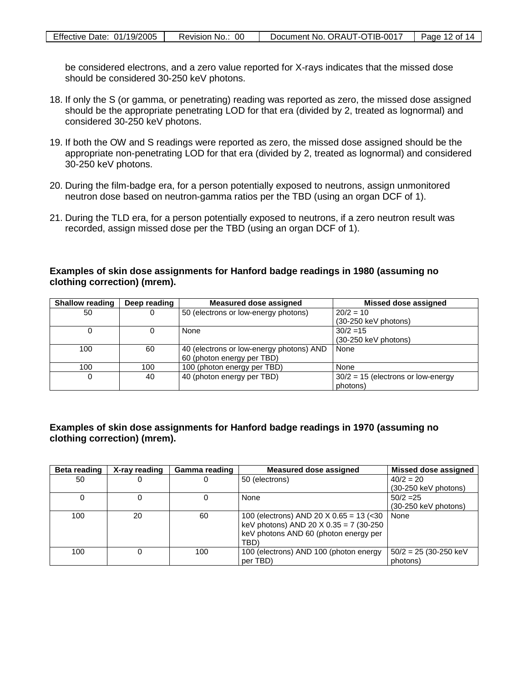| Effective Date: 01/19/2005 | Revision No.: 00 | Document No. ORAUT-OTIB-0017 | Page 12 of 14 |
|----------------------------|------------------|------------------------------|---------------|

be considered electrons, and a zero value reported for X-rays indicates that the missed dose should be considered 30-250 keV photons.

- 18. If only the S (or gamma, or penetrating) reading was reported as zero, the missed dose assigned should be the appropriate penetrating LOD for that era (divided by 2, treated as lognormal) and considered 30-250 keV photons.
- 19. If both the OW and S readings were reported as zero, the missed dose assigned should be the appropriate non-penetrating LOD for that era (divided by 2, treated as lognormal) and considered 30-250 keV photons.
- 20. During the film-badge era, for a person potentially exposed to neutrons, assign unmonitored neutron dose based on neutron-gamma ratios per the TBD (using an organ DCF of 1).
- 21. During the TLD era, for a person potentially exposed to neutrons, if a zero neutron result was recorded, assign missed dose per the TBD (using an organ DCF of 1).

#### **Examples of skin dose assignments for Hanford badge readings in 1980 (assuming no clothing correction) (mrem).**

| <b>Shallow reading</b> | Deep reading | <b>Measured dose assigned</b>            | Missed dose assigned                 |
|------------------------|--------------|------------------------------------------|--------------------------------------|
| 50                     |              | 50 (electrons or low-energy photons)     | $20/2 = 10$                          |
|                        |              |                                          | $(30-250 \text{ keV photons})$       |
|                        |              | None                                     | $30/2 = 15$                          |
|                        |              |                                          | $(30-250 \text{ keV photons})$       |
| 100                    | 60           | 40 (electrons or low-energy photons) AND | None                                 |
|                        |              | 60 (photon energy per TBD)               |                                      |
| 100                    | 100          | 100 (photon energy per TBD)              | None                                 |
| 0                      | 40           | 40 (photon energy per TBD)               | $30/2 = 15$ (electrons or low-energy |
|                        |              |                                          | photons)                             |

## **Examples of skin dose assignments for Hanford badge readings in 1970 (assuming no clothing correction) (mrem).**

| Beta reading | X-ray reading | Gamma reading | <b>Measured dose assigned</b>             | <b>Missed dose assigned</b>    |
|--------------|---------------|---------------|-------------------------------------------|--------------------------------|
| 50           |               |               | 50 (electrons)                            | $40/2 = 20$                    |
|              |               |               |                                           | $(30-250 \text{ keV photons})$ |
|              |               |               | None                                      | $50/2 = 25$                    |
|              |               |               |                                           | $(30-250 \text{ keV photons})$ |
| 100          | 20            | 60            | 100 (electrons) AND 20 $X$ 0.65 = 13 (<30 | None                           |
|              |               |               | keV photons) AND 20 $X$ 0.35 = 7 (30-250  |                                |
|              |               |               | keV photons AND 60 (photon energy per     |                                |
|              |               |               | TBD <sup>®</sup>                          |                                |
| 100          |               | 100           | 100 (electrons) AND 100 (photon energy    | $50/2 = 25$ (30-250 keV        |
|              |               |               | per TBD)                                  | photons)                       |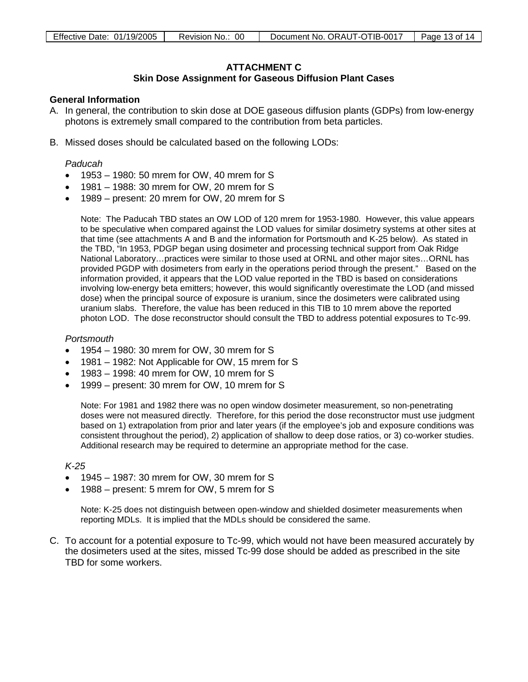# **ATTACHMENT C**

## **Skin Dose Assignment for Gaseous Diffusion Plant Cases**

## **General Information**

- A. In general, the contribution to skin dose at DOE gaseous diffusion plants (GDPs) from low-energy photons is extremely small compared to the contribution from beta particles.
- B. Missed doses should be calculated based on the following LODs:

#### *Paducah*

- 1953 1980: 50 mrem for OW, 40 mrem for S
- 1981 1988: 30 mrem for OW, 20 mrem for S
- 1989 present: 20 mrem for OW, 20 mrem for S

Note: The Paducah TBD states an OW LOD of 120 mrem for 1953-1980. However, this value appears to be speculative when compared against the LOD values for similar dosimetry systems at other sites at that time (see attachments A and B and the information for Portsmouth and K-25 below). As stated in the TBD, "In 1953, PDGP began using dosimeter and processing technical support from Oak Ridge National Laboratory…practices were similar to those used at ORNL and other major sites…ORNL has provided PGDP with dosimeters from early in the operations period through the present." Based on the information provided, it appears that the LOD value reported in the TBD is based on considerations involving low-energy beta emitters; however, this would significantly overestimate the LOD (and missed dose) when the principal source of exposure is uranium, since the dosimeters were calibrated using uranium slabs. Therefore, the value has been reduced in this TIB to 10 mrem above the reported photon LOD. The dose reconstructor should consult the TBD to address potential exposures to Tc-99.

#### *Portsmouth*

- 1954 1980: 30 mrem for OW, 30 mrem for S
- 1981 1982: Not Applicable for OW, 15 mrem for S
- $\bullet$  1983 1998: 40 mrem for OW, 10 mrem for S
- 1999 present: 30 mrem for OW, 10 mrem for S

Note: For 1981 and 1982 there was no open window dosimeter measurement, so non-penetrating doses were not measured directly. Therefore, for this period the dose reconstructor must use judgment based on 1) extrapolation from prior and later years (if the employee's job and exposure conditions was consistent throughout the period), 2) application of shallow to deep dose ratios, or 3) co-worker studies. Additional research may be required to determine an appropriate method for the case.

#### *K-25*

- 1945 1987: 30 mrem for OW, 30 mrem for S
- 1988 present: 5 mrem for OW, 5 mrem for S

Note: K-25 does not distinguish between open-window and shielded dosimeter measurements when reporting MDLs. It is implied that the MDLs should be considered the same.

C. To account for a potential exposure to Tc-99, which would not have been measured accurately by the dosimeters used at the sites, missed Tc-99 dose should be added as prescribed in the site TBD for some workers.